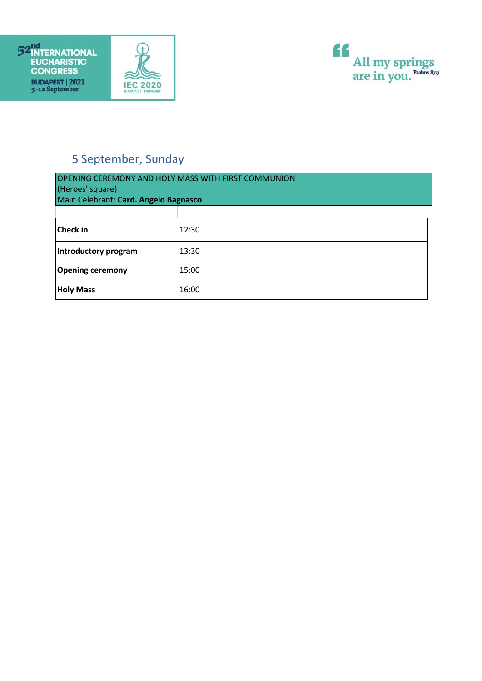





## 5 September, Sunday

| <b>OPENING CEREMONY AND HOLY MASS WITH FIRST COMMUNION</b><br>(Heroes' square)<br>Main Celebrant: Card. Angelo Bagnasco |       |  |
|-------------------------------------------------------------------------------------------------------------------------|-------|--|
|                                                                                                                         |       |  |
| <b>Check in</b>                                                                                                         | 12:30 |  |
| Introductory program                                                                                                    | 13:30 |  |
| <b>Opening ceremony</b>                                                                                                 | 15:00 |  |
| <b>Holy Mass</b>                                                                                                        | 16:00 |  |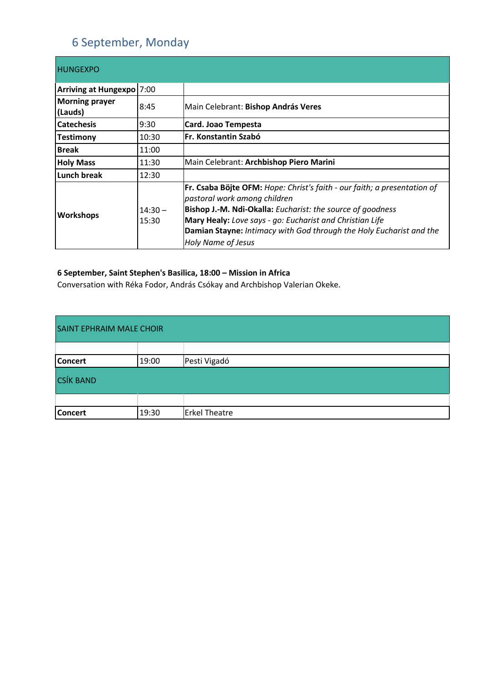## 6 September, Monday

| <b>HUNGEXPO</b>                  |                    |                                                                                                                                                                                                                                                                                                                                 |
|----------------------------------|--------------------|---------------------------------------------------------------------------------------------------------------------------------------------------------------------------------------------------------------------------------------------------------------------------------------------------------------------------------|
| Arriving at Hungexpo 7:00        |                    |                                                                                                                                                                                                                                                                                                                                 |
| <b>Morning prayer</b><br>(Lauds) | 8:45               | Main Celebrant: Bishop András Veres                                                                                                                                                                                                                                                                                             |
| <b>Catechesis</b>                | 9:30               | Card. Joao Tempesta                                                                                                                                                                                                                                                                                                             |
| <b>Testimony</b>                 | 10:30              | Fr. Konstantin Szabó                                                                                                                                                                                                                                                                                                            |
| <b>Break</b>                     | 11:00              |                                                                                                                                                                                                                                                                                                                                 |
| <b>Holy Mass</b>                 | 11:30              | Main Celebrant: Archbishop Piero Marini                                                                                                                                                                                                                                                                                         |
| Lunch break                      | 12:30              |                                                                                                                                                                                                                                                                                                                                 |
| <b>Workshops</b>                 | $14:30 -$<br>15:30 | Fr. Csaba Böjte OFM: Hope: Christ's faith - our faith; a presentation of<br>pastoral work among children<br>Bishop J.-M. Ndi-Okalla: Eucharist: the source of goodness<br>Mary Healy: Love says - go: Eucharist and Christian Life<br>Damian Stayne: Intimacy with God through the Holy Eucharist and the<br>Holy Name of Jesus |

### **6 September, Saint Stephen's Basilica, 18:00 – Mission in Africa**

Conversation with Réka Fodor, András Csókay and Archbishop Valerian Okeke.

| <b>SAINT EPHRAIM MALE CHOIR</b> |       |                      |
|---------------------------------|-------|----------------------|
|                                 |       |                      |
| <b>Concert</b>                  | 19:00 | Pesti Vigadó         |
| <b>CSÍK BAND</b>                |       |                      |
|                                 |       |                      |
| <b>Concert</b>                  | 19:30 | <b>Erkel Theatre</b> |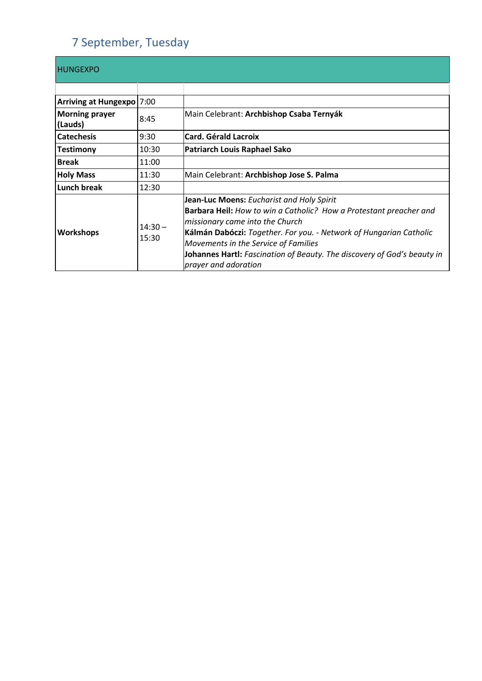## 7 September, Tuesday

| <b>HUNGEXPO</b>                  |                    |                                                                                                                                                                                                                                                                                                                                                                     |
|----------------------------------|--------------------|---------------------------------------------------------------------------------------------------------------------------------------------------------------------------------------------------------------------------------------------------------------------------------------------------------------------------------------------------------------------|
|                                  |                    |                                                                                                                                                                                                                                                                                                                                                                     |
| Arriving at Hungexpo 7:00        |                    |                                                                                                                                                                                                                                                                                                                                                                     |
| <b>Morning prayer</b><br>(Lauds) | 8:45               | Main Celebrant: Archbishop Csaba Ternyák                                                                                                                                                                                                                                                                                                                            |
| <b>Catechesis</b>                | 9:30               | <b>Card. Gérald Lacroix</b>                                                                                                                                                                                                                                                                                                                                         |
| <b>Testimony</b>                 | 10:30              | Patriarch Louis Raphael Sako                                                                                                                                                                                                                                                                                                                                        |
| <b>Break</b>                     | 11:00              |                                                                                                                                                                                                                                                                                                                                                                     |
| <b>Holy Mass</b>                 | 11:30              | Main Celebrant: Archbishop Jose S. Palma                                                                                                                                                                                                                                                                                                                            |
| Lunch break                      | 12:30              |                                                                                                                                                                                                                                                                                                                                                                     |
| Workshops                        | $14:30 -$<br>15:30 | Jean-Luc Moens: Eucharist and Holy Spirit<br>Barbara Heil: How to win a Catholic? How a Protestant preacher and<br>missionary came into the Church<br>Kálmán Dabóczi: Together. For you. - Network of Hungarian Catholic<br>Movements in the Service of Families<br>Johannes Hartl: Fascination of Beauty. The discovery of God's beauty in<br>prayer and adoration |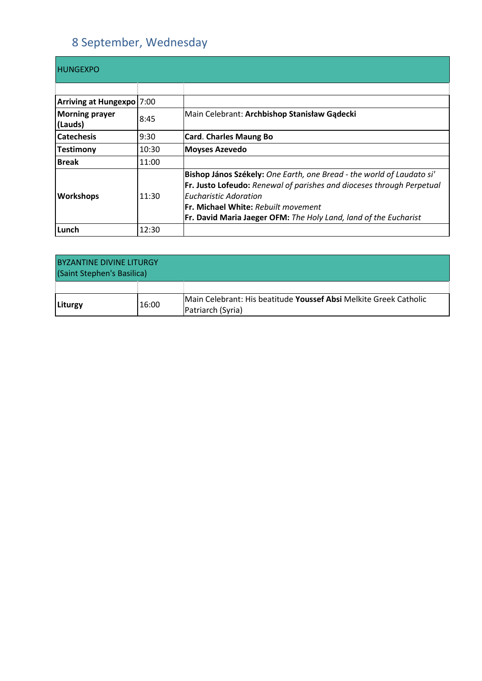## 8 September, Wednesday

| <b>HUNGEXPO</b>                  |       |                                                                                                                                                                                                                                                                                                         |
|----------------------------------|-------|---------------------------------------------------------------------------------------------------------------------------------------------------------------------------------------------------------------------------------------------------------------------------------------------------------|
|                                  |       |                                                                                                                                                                                                                                                                                                         |
| Arriving at Hungexpo 7:00        |       |                                                                                                                                                                                                                                                                                                         |
| <b>Morning prayer</b><br>(Lauds) | 8:45  | Main Celebrant: Archbishop Stanisław Gądecki                                                                                                                                                                                                                                                            |
| <b>Catechesis</b>                | 9:30  | <b>Card. Charles Maung Bo</b>                                                                                                                                                                                                                                                                           |
| <b>Testimony</b>                 | 10:30 | <b>Moyses Azevedo</b>                                                                                                                                                                                                                                                                                   |
| <b>Break</b>                     | 11:00 |                                                                                                                                                                                                                                                                                                         |
| Workshops                        | 11:30 | Bishop János Székely: One Earth, one Bread - the world of Laudato si'<br><b>Fr. Justo Lofeudo:</b> Renewal of parishes and dioceses through Perpetual<br><b>Eucharistic Adoration</b><br><b>Fr. Michael White: Rebuilt movement</b><br>Fr. David Maria Jaeger OFM: The Holy Land, land of the Eucharist |
| Lunch                            | 12:30 |                                                                                                                                                                                                                                                                                                         |

| <b>BYZANTINE DIVINE LITURGY</b><br>(Saint Stephen's Basilica) |       |                                                                                        |
|---------------------------------------------------------------|-------|----------------------------------------------------------------------------------------|
|                                                               |       |                                                                                        |
| Liturgy                                                       | 16:00 | Main Celebrant: His beatitude Youssef Absi Melkite Greek Catholic<br>Patriarch (Syria) |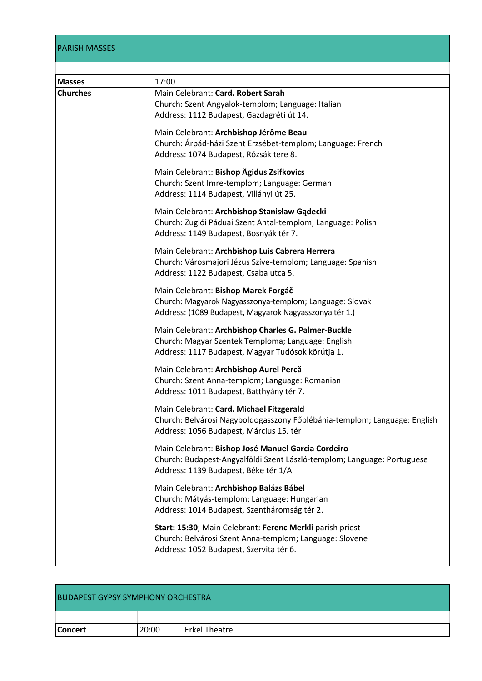### PARISH MASSES

| <b>Masses</b>   | 17:00                                                                                                                                                                 |
|-----------------|-----------------------------------------------------------------------------------------------------------------------------------------------------------------------|
| <b>Churches</b> | Main Celebrant: Card. Robert Sarah<br>Church: Szent Angyalok-templom; Language: Italian<br>Address: 1112 Budapest, Gazdagréti út 14.                                  |
|                 | Main Celebrant: Archbishop Jérôme Beau<br>Church: Árpád-házi Szent Erzsébet-templom; Language: French<br>Address: 1074 Budapest, Rózsák tere 8.                       |
|                 | Main Celebrant: Bishop Ägidus Zsifkovics<br>Church: Szent Imre-templom; Language: German<br>Address: 1114 Budapest, Villányi út 25.                                   |
|                 | Main Celebrant: Archbishop Stanisław Gądecki<br>Church: Zuglói Páduai Szent Antal-templom; Language: Polish<br>Address: 1149 Budapest, Bosnyák tér 7.                 |
|                 | Main Celebrant: Archbishop Luis Cabrera Herrera<br>Church: Városmajori Jézus Szíve-templom; Language: Spanish<br>Address: 1122 Budapest, Csaba utca 5.                |
|                 | Main Celebrant: Bishop Marek Forgáč<br>Church: Magyarok Nagyasszonya-templom; Language: Slovak<br>Address: (1089 Budapest, Magyarok Nagyasszonya tér 1.)              |
|                 | Main Celebrant: Archbishop Charles G. Palmer-Buckle<br>Church: Magyar Szentek Temploma; Language: English<br>Address: 1117 Budapest, Magyar Tudósok körútja 1.        |
|                 | Main Celebrant: Archbishop Aurel Percă<br>Church: Szent Anna-templom; Language: Romanian<br>Address: 1011 Budapest, Batthyány tér 7.                                  |
|                 | Main Celebrant: Card. Michael Fitzgerald<br>Church: Belvárosi Nagyboldogasszony Főplébánia-templom; Language: English<br>Address: 1056 Budapest, Március 15. tér      |
|                 | Main Celebrant: Bishop José Manuel Garcia Cordeiro<br>Church: Budapest-Angyalföldi Szent László-templom; Language: Portuguese<br>Address: 1139 Budapest, Béke tér 1/A |
|                 | Main Celebrant: Archbishop Balázs Bábel<br>Church: Mátyás-templom; Language: Hungarian<br>Address: 1014 Budapest, Szentháromság tér 2.                                |
|                 | Start: 15:30; Main Celebrant: Ferenc Merkli parish priest<br>Church: Belvárosi Szent Anna-templom; Language: Slovene<br>Address: 1052 Budapest, Szervita tér 6.       |

| <b>BUDAPEST GYPSY SYMPHONY ORCHESTRA</b> |       |                      |
|------------------------------------------|-------|----------------------|
|                                          |       |                      |
| <b>Concert</b>                           | 20:00 | <b>Erkel Theatre</b> |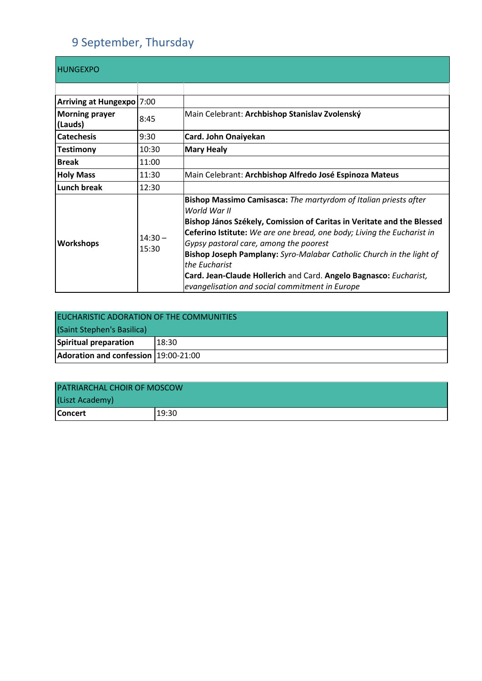# 9 September, Thursday

| <b>HUNGEXPO</b>                  |                    |                                                                                                                                                                                                                                                                                                                                                                                                                                                                                                |
|----------------------------------|--------------------|------------------------------------------------------------------------------------------------------------------------------------------------------------------------------------------------------------------------------------------------------------------------------------------------------------------------------------------------------------------------------------------------------------------------------------------------------------------------------------------------|
|                                  |                    |                                                                                                                                                                                                                                                                                                                                                                                                                                                                                                |
| Arriving at Hungexpo   7:00      |                    |                                                                                                                                                                                                                                                                                                                                                                                                                                                                                                |
| <b>Morning prayer</b><br>(Lauds) | 8:45               | Main Celebrant: Archbishop Stanislav Zvolenský                                                                                                                                                                                                                                                                                                                                                                                                                                                 |
| <b>Catechesis</b>                | 9:30               | Card. John Onaiyekan                                                                                                                                                                                                                                                                                                                                                                                                                                                                           |
| <b>Testimony</b>                 | 10:30              | <b>Mary Healy</b>                                                                                                                                                                                                                                                                                                                                                                                                                                                                              |
| <b>Break</b>                     | 11:00              |                                                                                                                                                                                                                                                                                                                                                                                                                                                                                                |
| <b>Holy Mass</b>                 | 11:30              | Main Celebrant: Archbishop Alfredo José Espinoza Mateus                                                                                                                                                                                                                                                                                                                                                                                                                                        |
| <b>Lunch break</b>               | 12:30              |                                                                                                                                                                                                                                                                                                                                                                                                                                                                                                |
| <b>Workshops</b>                 | $14:30 -$<br>15:30 | Bishop Massimo Camisasca: The martyrdom of Italian priests after<br>World War II<br>Bishop János Székely, Comission of Caritas in Veritate and the Blessed<br>Ceferino Istitute: We are one bread, one body; Living the Eucharist in<br>Gypsy pastoral care, among the poorest<br>Bishop Joseph Pamplany: Syro-Malabar Catholic Church in the light of<br>the Eucharist<br>Card. Jean-Claude Hollerich and Card. Angelo Bagnasco: Eucharist,<br>evangelisation and social commitment in Europe |

| EUCHARISTIC ADORATION OF THE COMMUNITIES<br>(Saint Stephen's Basilica) |       |  |
|------------------------------------------------------------------------|-------|--|
| Spiritual preparation                                                  | 18:30 |  |
| Adoration and confession 19:00-21:00                                   |       |  |

| <b>PATRIARCHAL CHOIR OF MOSCOW</b> |       |  |
|------------------------------------|-------|--|
| (Liszt Academy)                    |       |  |
| <b>Concert</b>                     | 19:30 |  |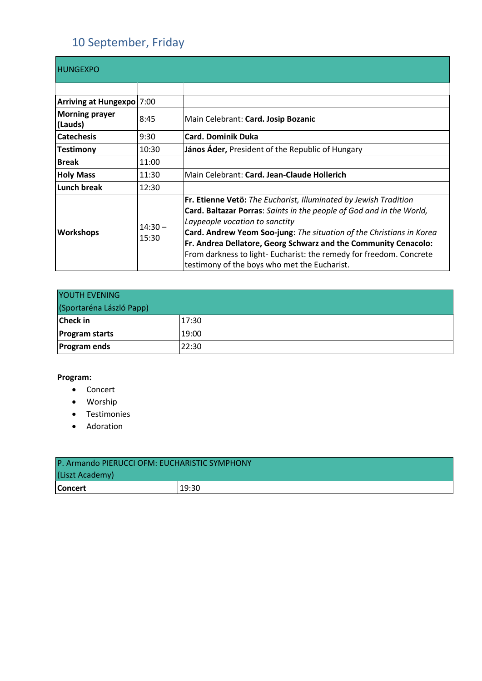## 10 September, Friday

| <b>HUNGEXPO</b>                  |                    |                                                                                                                                                                                                                                                                                                                                                                                                                                              |
|----------------------------------|--------------------|----------------------------------------------------------------------------------------------------------------------------------------------------------------------------------------------------------------------------------------------------------------------------------------------------------------------------------------------------------------------------------------------------------------------------------------------|
|                                  |                    |                                                                                                                                                                                                                                                                                                                                                                                                                                              |
| Arriving at Hungexpo   7:00      |                    |                                                                                                                                                                                                                                                                                                                                                                                                                                              |
| <b>Morning prayer</b><br>(Lauds) | 8:45               | Main Celebrant: Card. Josip Bozanic                                                                                                                                                                                                                                                                                                                                                                                                          |
| <b>Catechesis</b>                | 9:30               | <b>Card. Dominik Duka</b>                                                                                                                                                                                                                                                                                                                                                                                                                    |
| <b>Testimony</b>                 | 10:30              | János Áder, President of the Republic of Hungary                                                                                                                                                                                                                                                                                                                                                                                             |
| <b>Break</b>                     | 11:00              |                                                                                                                                                                                                                                                                                                                                                                                                                                              |
| <b>Holy Mass</b>                 | 11:30              | Main Celebrant: Card. Jean-Claude Hollerich                                                                                                                                                                                                                                                                                                                                                                                                  |
| <b>Lunch break</b>               | 12:30              |                                                                                                                                                                                                                                                                                                                                                                                                                                              |
| <b>Workshops</b>                 | $14:30 -$<br>15:30 | Fr. Etienne Vetö: The Eucharist, Illuminated by Jewish Tradition<br>Card. Baltazar Porras: Saints in the people of God and in the World,<br>Laypeople vocation to sanctity<br>Card. Andrew Yeom Soo-jung: The situation of the Christians in Korea<br>Fr. Andrea Dellatore, Georg Schwarz and the Community Cenacolo:<br>From darkness to light- Eucharist: the remedy for freedom. Concrete<br>testimony of the boys who met the Eucharist. |

| YOUTH EVENING            |       |  |
|--------------------------|-------|--|
| (Sportaréna László Papp) |       |  |
| <b>Check</b> in          | 17:30 |  |
| <b>Program starts</b>    | 19:00 |  |
| <b>Program ends</b>      | 22:30 |  |

#### **Program:**

- Concert
- Worship
- Testimonies
- Adoration

| P. Armando PIERUCCI OFM: EUCHARISTIC SYMPHONY |       |  |
|-----------------------------------------------|-------|--|
| (Liszt Academy)                               |       |  |
| <b>Concert</b>                                | 19:30 |  |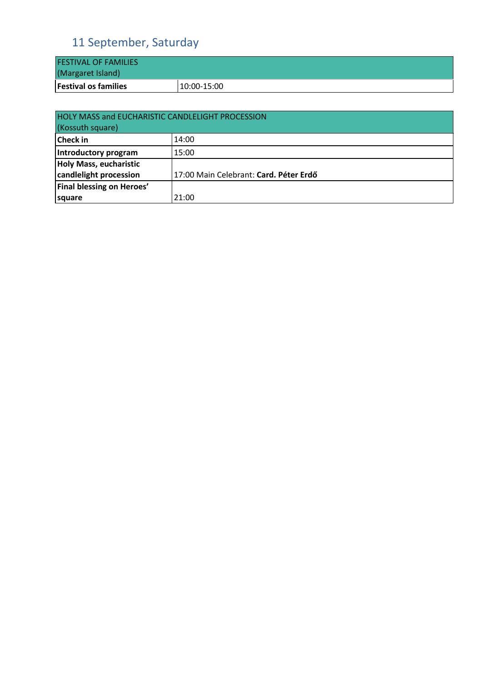## 11 September, Saturday

| <b>FESTIVAL OF FAMILIES</b> |             |
|-----------------------------|-------------|
| (Margaret Island)           |             |
| <b>Festival os families</b> | 10:00-15:00 |

| <b>HOLY MASS and EUCHARISTIC CANDLELIGHT PROCESSION</b><br>(Kossuth square) |                                        |  |
|-----------------------------------------------------------------------------|----------------------------------------|--|
| <b>Check</b> in                                                             | 14:00                                  |  |
| Introductory program                                                        | 15:00                                  |  |
| Holy Mass, eucharistic                                                      |                                        |  |
| candlelight procession                                                      | 17:00 Main Celebrant: Card. Péter Erdő |  |
| Final blessing on Heroes'                                                   |                                        |  |
| square                                                                      | 21:00                                  |  |